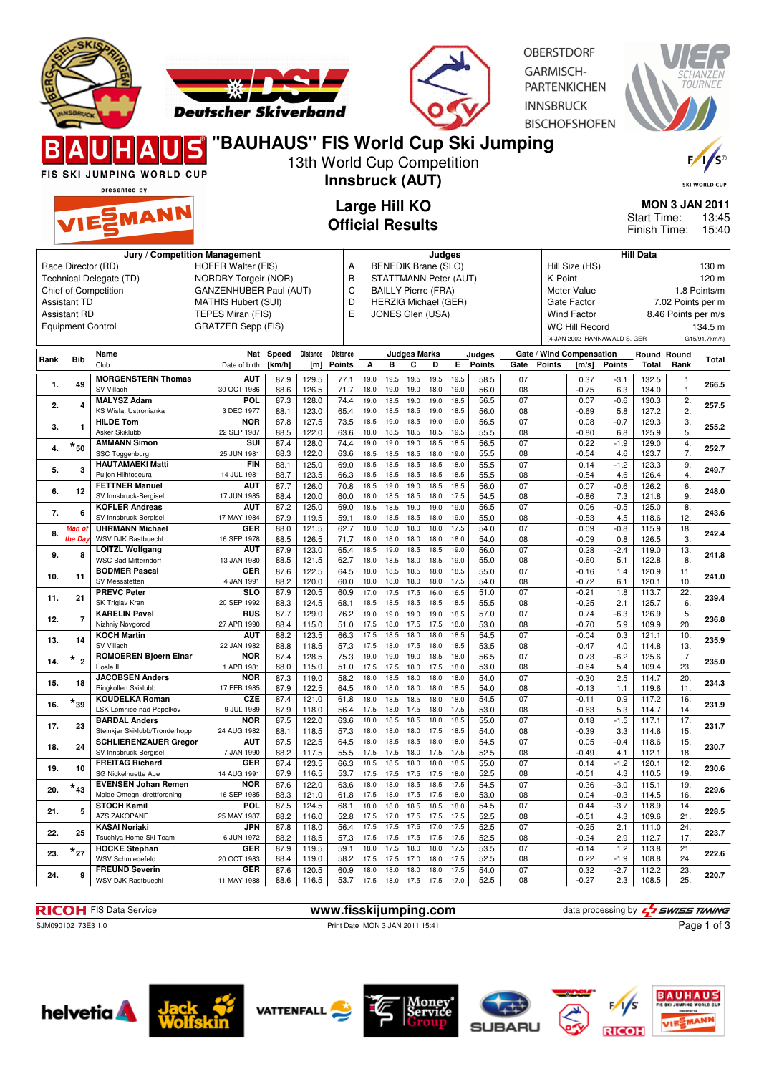



**OBERSTDORF** GARMISCH-PARTENKICHEN **INNSBRUCK BISCHOFSHOFEN** 

| D    |                          | <b>AIUIHIAI</b><br>FIS SKI JUMPING WORLD CUP           | טרווטמט                                        |              | 13th World Cup Competition |                 |              |                                                     |                     |              |              | <b>THE WORLD OUR ON BUILDING</b> |                       |                                               |                          |                              |                  |                        | $F / \sqrt{S^{\circ}}$           |
|------|--------------------------|--------------------------------------------------------|------------------------------------------------|--------------|----------------------------|-----------------|--------------|-----------------------------------------------------|---------------------|--------------|--------------|----------------------------------|-----------------------|-----------------------------------------------|--------------------------|------------------------------|------------------|------------------------|----------------------------------|
|      |                          | presented by                                           |                                                |              |                            | Innsbruck (AUT) |              |                                                     |                     |              |              |                                  |                       |                                               |                          |                              |                  |                        | <b>SKI WORLD CUP</b>             |
|      | VIESMANN                 |                                                        |                                                |              |                            |                 |              | Large Hill KO<br><b>Official Results</b>            |                     |              |              |                                  |                       | <b>MON 3 JAN 2011</b><br>Start Time:<br>13:45 |                          |                              |                  |                        |                                  |
|      |                          |                                                        |                                                |              |                            |                 |              |                                                     |                     |              |              |                                  |                       |                                               |                          |                              | Finish Time:     |                        | 15:40                            |
|      |                          |                                                        | Jury / Competition Management                  |              |                            |                 |              |                                                     |                     | Judges       |              |                                  |                       |                                               |                          |                              | <b>Hill Data</b> |                        |                                  |
|      |                          | Race Director (RD)                                     | <b>HOFER Walter (FIS)</b>                      |              |                            | Α               |              | <b>BENEDIK Brane (SLO)</b>                          |                     |              |              |                                  |                       |                                               | Hill Size (HS)           |                              |                  |                        | 130 m                            |
|      |                          | Technical Delegate (TD)<br>Chief of Competition        | NORDBY Torgeir (NOR)<br>GANZENHUBER Paul (AUT) |              |                            | B<br>C          |              | STATTMANN Peter (AUT)<br><b>BAILLY Pierre (FRA)</b> |                     |              |              |                                  |                       | K-Point                                       | Meter Value              |                              |                  |                        | 120 <sub>m</sub><br>1.8 Points/m |
|      | <b>Assistant TD</b>      |                                                        | <b>MATHIS Hubert (SUI)</b>                     |              |                            | D               |              | <b>HERZIG Michael (GER)</b>                         |                     |              |              |                                  |                       |                                               | Gate Factor              |                              |                  | 7.02 Points per m      |                                  |
|      | <b>Assistant RD</b>      |                                                        | TEPES Miran (FIS)                              |              |                            | Е               |              | JONES Glen (USA)                                    |                     |              |              |                                  |                       |                                               | <b>Wind Factor</b>       |                              |                  | 8.46 Points per m/s    |                                  |
|      | <b>Equipment Control</b> |                                                        | <b>GRATZER Sepp (FIS)</b>                      |              |                            |                 |              |                                                     |                     |              |              |                                  |                       |                                               | <b>WC Hill Record</b>    |                              |                  |                        | 134.5 m                          |
|      |                          |                                                        |                                                |              |                            |                 |              |                                                     |                     |              |              |                                  |                       |                                               |                          | (4 JAN 2002 HANNAWALD S. GER |                  |                        | G15/91.7km/h)                    |
| Rank | <b>Bib</b>               | Name<br>Club                                           | Nat                                            | Speed        | Distance                   | Distance        |              |                                                     | <b>Judges Marks</b> |              |              | Judges                           |                       |                                               | Gate / Wind Compensation |                              | <b>Total</b>     | Round Round            | Total                            |
|      |                          |                                                        | Date of birth                                  | [km/h]       | [m]                        | Points          | А<br>19.0    | в                                                   | С<br>19.5           | D<br>19.5    | Е            | <b>Points</b>                    | Gate                  | <b>Points</b>                                 | [m/s]                    | Points                       |                  | Rank                   |                                  |
| 1.   | 49                       | <b>MORGENSTERN Thomas</b><br>SV Villach                | <b>AUT</b><br>30 OCT 1986                      | 87.9<br>88.6 | 129.5<br>126.5             | 77.1<br>71.7    | 18.0         | 19.5<br>19.0                                        | 19.0                | 18.0         | 19.5<br>19.0 | 58.5<br>56.0                     | 07<br>08              |                                               | 0.37<br>$-0.75$          | $-3.1$<br>6.3                | 132.5<br>134.0   | 1.<br>1.               | 266.5                            |
| 2.   | $\overline{4}$           | <b>MALYSZ Adam</b>                                     | POL                                            | 87.3         | 128.0                      | 74.4            | 19.0         | 18.5                                                | 19.0                | 19.0         | 18.5         | 56.5                             | 07                    |                                               | 0.07                     | $-0.6$                       | 130.3            | 2.                     | 257.5                            |
|      |                          | KS Wisla, Ustronianka<br><b>HILDE Tom</b>              | 3 DEC 1977<br><b>NOR</b>                       | 88.1         | 123.0                      | 65.4<br>73.5    | 19.0         | 18.5<br>19.0                                        | 18.5<br>18.5        | 19.0<br>19.0 | 18.5<br>19.0 | 56.0<br>56.5                     | 08<br>07              |                                               | $-0.69$                  | 5.8<br>$-0.7$                | 127.2            | 2.                     |                                  |
| 3.   | $\mathbf{1}$             | Asker Skiklubb                                         | 22 SEP 1987                                    | 87.8<br>88.5 | 127.5<br>122.0             | 63.6            | 18.5<br>18.0 | 18.5                                                | 18.5                | 18.5         | 19.5         | 55.5                             | 08                    |                                               | 0.08<br>$-0.80$          | 6.8                          | 129.3<br>125.9   | 3.<br>5.               | 255.2                            |
| 4.   | $\star_{\,50}$           | <b>AMMANN Simon</b>                                    | <b>SUI</b>                                     | 87.4         | 128.0                      | 74.4            | 19.0         | 19.0                                                | 19.0                | 18.5         | 18.5         | 56.5                             | 07                    |                                               | 0.22                     | $-1.9$                       | 129.0            | $\overline{4}$ .       | 252.7                            |
|      |                          | SSC Toggenburg                                         | 25 JUN 1981                                    | 88.3         | 122.0                      | 63.6            | 18.5         | 18.5                                                | 18.5                | 18.0         | 19.0         | 55.5                             | 08<br>07              |                                               | $-0.54$                  | 4.6                          | 123.7            | 7.<br>9.               |                                  |
| 5.   | 3                        | <b>HAUTAMAEKI Matti</b><br>Puijon Hiihtoseura          | <b>FIN</b><br>14 JUL 1981                      | 88.1<br>88.7 | 125.0<br>123.5             | 69.0<br>66.3    | 18.5<br>18.5 | 18.5<br>18.5                                        | 18.5<br>18.5        | 18.5<br>18.5 | 18.0<br>18.5 | 55.5<br>55.5                     | 08                    |                                               | 0.14<br>$-0.54$          | $-1.2$<br>4.6                | 123.3<br>126.4   | 4.                     | 249.7                            |
| 6.   | 12                       | <b>FETTNER Manuel</b>                                  | <b>AUT</b>                                     | 87.7         | 126.0                      | 70.8            | 18.5         | 19.0                                                | 19.0                | 18.5         | 18.5         | 56.0                             | 07                    |                                               | 0.07                     | $-0.6$                       | 126.2            | 6.                     | 248.0                            |
|      |                          | SV Innsbruck-Bergisel                                  | 17 JUN 1985                                    | 88.4         | 120.0                      | 60.0            | 18.0         | 18.5                                                | 18.5                | 18.0         | 17.5         | 54.5                             | 08                    |                                               | $-0.86$                  | 7.3                          | 121.8            | 9.                     |                                  |
| 7.   | 6                        | <b>KOFLER Andreas</b><br>SV Innsbruck-Bergisel         | <b>AUT</b><br>17 MAY 1984                      | 87.2<br>87.9 | 125.0<br>119.5             | 69.0<br>59.1    | 18.5<br>18.0 | 18.5<br>18.5                                        | 19.0<br>18.5        | 19.0<br>18.0 | 19.0<br>19.0 | 56.5<br>55.0                     | 07<br>08              |                                               | 0.06<br>$-0.53$          | $-0.5$<br>4.5                | 125.0<br>118.6   | 8.<br>12.              | 243.6                            |
| 8.   | Vlan c                   | <b>UHRMANN Michael</b>                                 | <b>GER</b>                                     | 88.0         | 121.5                      | 62.7            | 18.0         | 18.0                                                | 18.0                | 18.0         | 17.5         | 54.0                             | 07                    |                                               | 0.09                     | $-0.8$                       | 115.9            | 18.                    | 242.4                            |
|      | he Da                    | WSV DJK Rastbuechl                                     | 16 SEP 1978                                    | 88.5         | 126.5                      | 71.7            | 18.0         | 18.0                                                | 18.0                | 18.0         | 18.0         | 54.0                             | 08                    |                                               | $-0.09$                  | 0.8                          | 126.5            | 3.                     |                                  |
| 9.   | 8                        | <b>LOITZL Wolfgang</b><br><b>WSC Bad Mitterndorf</b>   | <b>AUT</b><br>13 JAN 1980                      | 87.9<br>88.5 | 123.0<br>121.5             | 65.4<br>62.7    | 18.5<br>18.0 | 19.0<br>18.5                                        | 18.5<br>18.0        | 18.5<br>18.5 | 19.0<br>19.0 | 56.0<br>55.0                     | $\overline{07}$<br>08 |                                               | 0.28<br>$-0.60$          | $-2.4$<br>5.1                | 119.0<br>122.8   | 13.<br>8.              | 241.8                            |
| 10.  | 11                       | <b>BODMER Pascal</b>                                   | <b>GER</b>                                     | 87.6         | 122.5                      | 64.5            | 18.0         | 18.5                                                | 18.5                | 18.0         | 18.5         | 55.0                             | 07                    |                                               | $-0.16$                  | 1.4                          | 120.9            | 11.                    | 241.0                            |
|      |                          | SV Messstetten                                         | 4 JAN 1991                                     | 88.2         | 120.0                      | 60.0            | 18.0         | 18.0                                                | 18.0                | 18.0         | 17.5         | 54.0                             | 08<br>07              |                                               | $-0.72$                  | 6.1                          | 120.1            | 10.<br>$\overline{22}$ |                                  |
| 11.  | 21                       | <b>PREVC Peter</b><br>SK Triglav Kranj                 | <b>SLO</b><br>20 SEP 1992                      | 87.9<br>88.3 | 120.5<br>124.5             | 60.9<br>68.1    | 17.0<br>18.5 | 17.5<br>18.5                                        | 17.5<br>18.5        | 16.0<br>18.5 | 16.5<br>18.5 | 51.0<br>55.5                     | 08                    |                                               | $-0.21$<br>$-0.25$       | 1.8<br>2.1                   | 113.7<br>125.7   | 6.                     | 239.4                            |
| 12.  | $\overline{7}$           | <b>KARELIN Pavel</b>                                   | <b>RUS</b>                                     | 87.7         | 129.0                      | 76.2            | 19.0         | 19.0                                                | 19.0                | 19.0         | 18.5         | 57.0                             | 07                    |                                               | 0.74                     | $-6.3$                       | 126.9            | 5.                     | 236.8                            |
|      |                          | Nizhniy Novgorod<br><b>KOCH Martin</b>                 | 27 APR 1990                                    | 88.4         | 115.0                      | 51.0            | 17.5         | 18.0                                                | 17.5                | 17.5         | 18.0         | 53.0                             | 08                    |                                               | $-0.70$                  | 5.9                          | 109.9            | 20.                    |                                  |
| 13.  | 14                       | SV Villach                                             | <b>AUT</b><br>22 JAN 1982                      | 88.2<br>88.8 | 123.5<br>118.5             | 66.3<br>57.3    | 17.5<br>17.5 | 18.5<br>18.0                                        | 18.0<br>17.5        | 18.0<br>18.0 | 18.5<br>18.5 | 54.5<br>53.5                     | 07<br>08              |                                               | $-0.04$<br>$-0.47$       | 0.3<br>4.0                   | 121.1<br>114.8   | 10.<br>13.             | 235.9                            |
| 14.  | $*_{2}$                  | <b>ROMOEREN Bjoern Einar</b>                           | <b>NOR</b>                                     | 87.4         | 128.5                      | 75.3            | 19.0         | 19.0                                                | 19.0                | 18.5         | 18.0         | 56.5                             | 07                    |                                               | 0.73                     | $-6.2$                       | 125.6            | 7.                     | 235.0                            |
|      |                          | Hosle IL                                               | 1 APR 1981                                     | 88.0<br>87.3 | 115.0                      | 51.0            | 17.5         | 17.5                                                | 18.0                | 17.5<br>18.0 | 18.0<br>18.0 | 53.0                             | 08                    |                                               | $-0.64$                  | 5.4                          | 109.4            | 23.                    |                                  |
| 15.  | 18                       | <b>JACOBSEN Anders</b><br>Ringkollen Skiklubb          | <b>NOR</b><br>17 FEB 1985                      | 87.9         | 119.0<br>122.5             | 58.2<br>64.5    | 18.0<br>18.0 | 18.5<br>18.0                                        | 18.0<br>18.0        | 18.0         | 18.5         | 54.0<br>54.0                     | 07<br>08              |                                               | $-0.30$<br>$-0.13$       | 2.5<br>1.1                   | 114.7<br>119.6   | 20.<br>11.             | 234.3                            |
| 16.  | $*_{39}$                 | <b>KOUDELKA Roman</b>                                  | CZE                                            | 87.4         | 121.0                      | 61.8            | 18.0         | 18.5                                                | 18.5                | 18.0         | 18.0         | 54.5                             | 07                    |                                               | $-0.11$                  | 0.9                          | 117.2            | 16.                    | 231.9                            |
|      |                          | LSK Lomnice nad Popelkov                               | 9 JUL 1989                                     | 87.9         | 118.0                      | 56.4            | 17.5         | 18.0                                                | 17.5                | 18.0         | 17.5         | 53.0                             | 08                    |                                               | $-0.63$                  | 5.3                          | 114.7            | 14.                    |                                  |
| 17.  | 23                       | <b>BARDAL Anders</b><br>Steinkjer Skiklubb/Tronderhopp | <b>NOR</b><br>24 AUG 1982                      | 87.5<br>88.1 | 122.0<br>118.5             | 63.6<br>57.3    | 18.0<br>18.0 | 18.5                                                | 18.5<br>18.0 18.0   | 18.0<br>17.5 | 18.5<br>18.5 | 55.0<br>54.0                     | 07<br>08              |                                               | 0.18<br>$-0.39$          | $-1.5$<br>3.3                | 117.1<br>114.6   | 17.<br>15.             | 231.7                            |
| 18.  | 24                       | <b>SCHLIERENZAUER Gregor</b>                           | <b>AUT</b>                                     | 87.5         | 122.5                      | 64.5            | 18.0         | 18.5                                                | 18.5                | 18.0         | 18.0         | 54.5                             | 07                    |                                               | 0.05                     | $-0.4$                       | 118.6            | 15.                    | 230.7                            |
|      |                          | SV Innsbruck-Bergisel                                  | 7 JAN 1990                                     | 88.2         | 117.5                      | 55.5            | 17.5         |                                                     | 17.5 18.0           | 17.5         | 17.5         | 52.5                             | 08                    |                                               | $-0.49$                  | 4.1                          | 112.1            | 18.                    |                                  |
| 19.  | 10                       | <b>FREITAG Richard</b><br>SG Nickelhuette Aue          | <b>GER</b><br>14 AUG 1991                      | 87.4<br>87.9 | 123.5<br>116.5             | 66.3<br>53.7    | 18.5<br>17.5 | 18.5<br>17.5 17.5                                   | 18.0                | 18.0<br>17.5 | 18.5<br>18.0 | 55.0<br>52.5                     | 07<br>08              |                                               | 0.14<br>$-0.51$          | $-1.2$<br>4.3                | 120.1<br>110.5   | 12.<br>19.             | 230.6                            |
| 20.  | $\star_{43}$             | <b>EVENSEN Johan Remen</b>                             | <b>NOR</b>                                     | 87.6         | 122.0                      | 63.6            | 18.0         | 18.0                                                | 18.5                | 18.5         | 17.5         | 54.5                             | 07                    |                                               | 0.36                     | $-3.0$                       | 115.1            | 19.                    | 229.6                            |
|      |                          | Molde Omegn Idrettforening                             | 16 SEP 1985                                    | 88.3         | 121.0                      | 61.8            | 17.5         |                                                     | 18.0 17.5           | 17.5         | 18.0         | 53.0                             | 08                    |                                               | 0.04                     | $-0.3$                       | 114.5            | 16.                    |                                  |
| 21.  | 5                        | <b>STOCH Kamil</b><br>AZS ZAKOPANE                     | <b>POL</b><br>25 MAY 1987                      | 87.5<br>88.2 | 124.5<br>116.0             | 68.1<br>52.8    | 18.0<br>17.5 | 18.0<br>17.0                                        | 18.5<br>17.5        | 18.5<br>17.5 | 18.0<br>17.5 | 54.5<br>52.5                     | 07<br>08              |                                               | 0.44<br>$-0.51$          | $-3.7$<br>4.3                | 118.9<br>109.6   | 14.<br>21.             | 228.5                            |
| 22.  | 25                       | <b>KASAI Noriaki</b>                                   | <b>JPN</b>                                     | 87.8         | 118.0                      | 56.4            | 17.5         | 17.5                                                | 17.5                | 17.0         | 17.5         | 52.5                             | 07                    |                                               | $-0.25$                  | 2.1                          | 111.0            | 24.                    | 223.7                            |
|      |                          | Tsuchiya Home Ski Team                                 | 6 JUN 1972                                     | 88.2         | 118.5                      | 57.3            | 17.5         | 17.5 17.5                                           |                     | 17.5         | 17.5         | 52.5                             | 08                    |                                               | $-0.34$                  | 2.9                          | 112.7            | 17.                    |                                  |
| 23.  | $\star_{27}$             | <b>HOCKE Stephan</b><br>WSV Schmiedefeld               | <b>GER</b><br>20 OCT 1983                      | 87.9<br>88.4 | 119.5<br>119.0             | 59.1<br>58.2    | 18.0<br>17.5 | 17.5<br>17.5 17.0                                   | 18.0                | 18.0<br>18.0 | 17.5<br>17.5 | 53.5<br>52.5                     | 07<br>08              |                                               | $-0.14$<br>0.22          | 1.2<br>$-1.9$                | 113.8<br>108.8   | 21.<br>24.             | 222.6                            |
| 24.  | 9                        | <b>FREUND Severin</b>                                  | <b>GER</b>                                     | 87.6         | 120.5                      | 60.9            | 18.0         | 18.0                                                | 18.0                | 18.0         | 17.5         | 54.0                             | 07                    |                                               | 0.32                     | $-2.7$                       | 112.2            | 23.                    | 220.7                            |
|      |                          | WSV DJK Rastbuechl                                     | 11 MAY 1988                                    | 88.6         | 116.5                      | 53.7            |              | 17.5 18.0 17.5 17.5 17.0                            |                     |              |              | 52.5                             | 08                    |                                               | $-0.27$                  | 2.3                          | 108.5            | 25.                    |                                  |

Page 1 of 3

**RICOH** FIS Data Service **www.fisskijumping.com** data processing by  $\frac{1}{2}$  SWISS TIMING SJM090102\_73E3 1.0<br>
Print Date MON 3 JAN 2011 15:41 Page 1 of 3

Print Date MON 3 JAN 2011 15:41













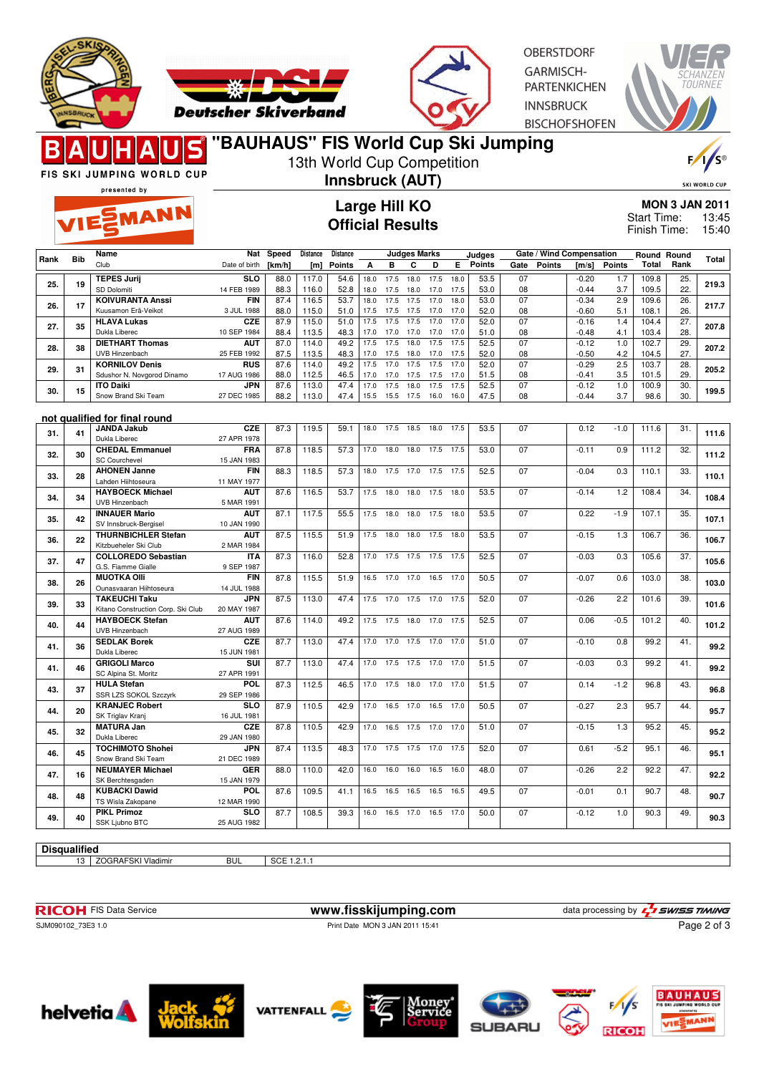



**OBERSTDORF** GARMISCH-**PARTENKICHEN INNSBRUCK BISCHOFSHOFEN** 



FIS SKI JUMPING WORLD CUP presented by

MANN

## **Innsbruck (AUT) Large Hill KO Official Results**

13th World Cup Competition

|                | <b>SKI WORLD CUP</b> |
|----------------|----------------------|
| MON 3 JAN 2011 |                      |
| ırt Time:      | 13:45                |

Finish Time: 15:40 Star

|      | Name       |                                                  |                           | Nat Speed    | Distance       | <b>Distance</b> |              | <b>Judges Marks</b> |              |              |              | Judges        | Gate / Wind Compensation |               |                    |               |               | Round Round |       |
|------|------------|--------------------------------------------------|---------------------------|--------------|----------------|-----------------|--------------|---------------------|--------------|--------------|--------------|---------------|--------------------------|---------------|--------------------|---------------|---------------|-------------|-------|
| Rank | <b>Bib</b> | Club                                             | Date of birth             | [km/h]       | [m]            | Points          | A            | в                   | C            | D            | Е            | <b>Points</b> | Gate                     | <b>Points</b> | [m/s]              | <b>Points</b> | <b>Total</b>  | Rank        | Total |
|      |            | <b>TEPES Jurii</b>                               | <b>SLO</b>                | 88.0         | 117.0          | 54.6            | 18.0         | 17.5                | 18.0         | 17.5         | 18.0         | 53.5          | 07                       |               | $-0.20$            | 1.7           | 109.8         | 25.         |       |
| 25.  | 19         | SD Dolomiti                                      | 14 FEB 1989               | 88.3         | 116.0          | 52.8            | 18.0         | 17.5                | 18.0         | 17.0         | 17.5         | 53.0          | 08                       |               | $-0.44$            | 3.7           | 109.5         | 22.         | 219.3 |
|      |            | <b>KOIVURANTA Anssi</b>                          | <b>FIN</b>                | 87.4         | 116.5          | 53.7            | 18.0         | 17.5                | 17.5         | 17.0         | 18.0         | 53.0          | 07                       |               | $-0.34$            | 2.9           | 109.6         | 26.         |       |
| 26.  | 17         | Kuusamon Erä-Veikot                              | 3 JUL 1988                | 88.0         | 115.0          | 51.0            | 17.5         | 17.5                | 17.5         | 17.0         | 17.0         | 52.0          | 08                       |               | $-0.60$            | 5.1           | 108.1         | 26.         | 217.7 |
| 27.  | 35         | <b>HLAVA Lukas</b>                               | <b>CZE</b>                | 87.9         | 115.0          | 51.0            | 17.5         | 17.5                | 17.5         | 17.0         | 17.0         | 52.0          | 07                       |               | $-0.16$            | 1.4           | 104.4         | 27.         | 207.8 |
|      |            | Dukla Liberec                                    | 10 SEP 1984               | 88.4         | 113.5          | 48.3            | 17.0         | 17.0                | 17.0         | 17.0         | 17.0         | 51.0          | 08                       |               | $-0.48$            | 4.1           | 103.4         | 28.         |       |
| 28.  | 38         | <b>DIETHART Thomas</b>                           | <b>AUT</b>                | 87.0         | 114.0          | 49.2            | 17.5         | 17.5                | 18.0         | 17.5         | 17.5         | 52.5          | 07                       |               | $-0.12$            | 1.0           | 102.7         | 29.         | 207.2 |
|      |            | <b>UVB Hinzenbach</b>                            | 25 FEB 1992               | 87.5         | 113.5          | 48.3            | 17.0         | 17.5                | 18.0         | 17.0         | 17.5         | 52.0          | 08                       |               | $-0.50$            | 4.2           | 104.5         | 27.         |       |
| 29.  | 31         | <b>KORNILOV Denis</b>                            | <b>RUS</b>                | 87.6         | 114.0          | 49.2            | 17.5         | 17.0                | 17.5         | 17.5         | 17.0         | 52.0          | 07                       |               | $-0.29$            | 2.5           | 103.7         | 28.         | 205.2 |
|      |            | Sdushor N. Novgorod Dinamo                       | 17 AUG 1986               | 88.0         | 112.5          | 46.5            | 17.0         | 17.0                | 17.5         | 17.5         | 17.0         | 51.5          | 08                       |               | $-0.41$            | 3.5           | 101.5         | 29.         |       |
| 30.  | 15         | <b>ITO Daiki</b><br>Snow Brand Ski Team          | <b>JPN</b><br>27 DEC 1985 | 87.6<br>88.2 | 113.0<br>113.0 | 47.4<br>47.4    | 17.0<br>15.5 | 17.5<br>15.5        | 18.0<br>17.5 | 17.5<br>16.0 | 17.5<br>16.0 | 52.5<br>47.5  | 07<br>08                 |               | $-0.12$<br>$-0.44$ | 1.0<br>3.7    | 100.9<br>98.6 | 30.<br>30.  | 199.5 |
|      |            |                                                  |                           |              |                |                 |              |                     |              |              |              |               |                          |               |                    |               |               |             |       |
|      |            | not qualified for final round                    |                           |              |                |                 |              |                     |              |              |              |               |                          |               |                    |               |               |             |       |
|      |            | <b>JANDA Jakub</b>                               | <b>CZE</b>                | 87.3         | 119.5          | 59.1            | 18.0         | 17.5                | 18.5         | 18.0         | 17.5         | 53.5          | 07                       |               | 0.12               | $-1.0$        | 111.6         | 31.         |       |
| 31.  | 41         | Dukla Liberec                                    | 27 APR 1978               |              |                |                 |              |                     |              |              |              |               |                          |               |                    |               |               |             | 111.6 |
|      |            | <b>CHEDAL Emmanuel</b>                           | <b>FRA</b>                | 87.8         | 118.5          | 57.3            | 17.0         | 18.0                | 18.0         | 17.5         | 17.5         | 53.0          | 07                       |               | $-0.11$            | 0.9           | 111.2         | 32.         |       |
| 32.  | 30         | <b>SC Courchevel</b>                             | 15 JAN 1983               |              |                |                 |              |                     |              |              |              |               |                          |               |                    |               |               |             | 111.2 |
|      |            | <b>AHONEN Janne</b>                              | <b>FIN</b>                | 88.3         | 118.5          | 57.3            | 18.0         | 17.5                | 17.0         | 17.5         | 17.5         | 52.5          | 07                       |               | $-0.04$            | 0.3           | 110.1         | 33.         | 110.1 |
| 33.  | 28         | Lahden Hiihtoseura                               | 11 MAY 1977               |              |                |                 |              |                     |              |              |              |               |                          |               |                    |               |               |             |       |
| 34.  | 34         | <b>HAYBOECK Michael</b>                          | <b>AUT</b>                | 87.6         | 116.5          | 53.7            | 17.5         | 18.0                | 18.0         | 17.5         | 18.0         | 53.5          | 07                       |               | $-0.14$            | 1.2           | 108.4         | 34.         | 108.4 |
|      |            | <b>UVB Hinzenbach</b>                            | 5 MAR 1991                |              |                |                 |              |                     |              |              |              |               |                          |               |                    |               |               |             |       |
| 35.  | 42         | <b>INNAUER Mario</b>                             | <b>AUT</b>                | 87.1         | 117.5          | 55.5            | 17.5         | 18.0                | 18.0         | 17.5         | 18.0         | 53.5          | 07                       |               | 0.22               | $-1.9$        | 107.1         | 35.         | 107.1 |
|      |            | SV Innsbruck-Bergisel                            | 10 JAN 1990               |              |                |                 |              |                     |              |              |              |               |                          |               |                    |               |               |             |       |
| 36.  | 22         | <b>THURNBICHLER Stefan</b>                       | <b>AUT</b>                | 87.5         | 115.5          | 51.9            | 17.5         | 18.0                | 18.0         | 17.5         | 18.0         | 53.5          | 07                       |               | $-0.15$            | 1.3           | 106.7         | 36.         | 106.7 |
|      |            | Kitzbueheler Ski Club                            | 2 MAR 1984                |              |                |                 |              | 17.5                | 17.5         | 17.5         | 17.5         |               | 07                       |               |                    |               |               |             |       |
| 37.  | 47         | <b>COLLOREDO Sebastian</b><br>G.S. Fiamme Gialle | <b>ITA</b><br>9 SEP 1987  | 87.3         | 116.0          | 52.8            | 17.0         |                     |              |              |              | 52.5          |                          |               | $-0.03$            | 0.3           | 105.6         | 37.         | 105.6 |
|      |            | <b>MUOTKA OIII</b>                               | <b>FIN</b>                | 87.8         | 115.5          | 51.9            | 16.5         | 17.0                | 17.0         | 16.5         | 17.0         | 50.5          | 07                       |               | $-0.07$            | 0.6           | 103.0         | 38.         |       |
| 38.  | 26         | Ounasvaaran Hiihtoseura                          | 14 JUL 1988               |              |                |                 |              |                     |              |              |              |               |                          |               |                    |               |               |             | 103.0 |
|      |            | <b>TAKEUCHI Taku</b>                             | <b>JPN</b>                | 87.5         | 113.0          | 47.4            | 17.5         | 17.0                | 17.5         | 17.0         | 17.5         | 52.0          | 07                       |               | $-0.26$            | 2.2           | 101.6         | 39.         |       |
| 39.  | 33         | Kitano Construction Corp. Ski Club               | 20 MAY 1987               |              |                |                 |              |                     |              |              |              |               |                          |               |                    |               |               |             | 101.6 |
|      |            | <b>HAYBOECK Stefan</b>                           | <b>AUT</b>                | 87.6         | 114.0          | 49.2            | 17.5         | 17.5                | 18.0         | 17.0         | 17.5         | 52.5          | 07                       |               | 0.06               | $-0.5$        | 101.2         | 40.         |       |
| 40.  | 44         | UVB Hinzenbach                                   | 27 AUG 1989               |              |                |                 |              |                     |              |              |              |               |                          |               |                    |               |               |             | 101.2 |
| 41.  | 36         | <b>SEDLAK Borek</b>                              | <b>CZE</b>                | 87.7         | 113.0          | 47.4            | 17.0         | 17.0                | 17.5         | 17.0         | 17.0         | 51.0          | 07                       |               | $-0.10$            | 0.8           | 99.2          | 41.         | 99.2  |
|      |            | Dukla Liberec                                    | 15 JUN 1981               |              |                |                 |              |                     |              |              |              |               |                          |               |                    |               |               |             |       |
| 41.  | 46         | <b>GRIGOLI Marco</b>                             | SUI                       | 87.7         | 113.0          | 47.4            | 17.0         | 17.5                | 17.5         | 17.0         | 17.0         | 51.5          | 07                       |               | $-0.03$            | 0.3           | 99.2          | 41.         | 99.2  |
|      |            | SC Alpina St. Moritz                             | 27 APR 1991               |              |                |                 |              |                     |              |              |              |               |                          |               |                    |               |               |             |       |
| 43.  | 37         | <b>HULA Stefan</b>                               | <b>POL</b>                | 87.3         | 112.5          | 46.5            | 17.0         | 17.5                | 18.0         | 17.0         | 17.0         | 51.5          | 07                       |               | 0.14               | $-1.2$        | 96.8          | 43.         | 96.8  |
|      |            | SSR LZS SOKOL Szczyrk<br><b>KRANJEC Robert</b>   | 29 SEP 1986<br><b>SLO</b> | 87.9         |                |                 | 17.0         |                     | 17.0         | 16.5         | 17.0         |               | 07                       |               | $-0.27$            | 2.3           |               | 44.         |       |
| 44.  | 20         | SK Triglav Kranj                                 | 16 JUL 1981               |              | 110.5          | 42.9            |              | 16.5                |              |              |              | 50.5          |                          |               |                    |               | 95.7          |             | 95.7  |
|      |            | <b>MATURA Jan</b>                                | <b>CZE</b>                | 87.8         | 110.5          | 42.9            | 17.0         | 16.5                | 17.5         | 17.0         | 17.0         | 51.0          | 07                       |               | $-0.15$            | 1.3           | 95.2          | 45.         |       |
| 45.  | 32         | Dukla Liberec                                    | 29 JAN 1980               |              |                |                 |              |                     |              |              |              |               |                          |               |                    |               |               |             | 95.2  |
|      |            | <b>TOCHIMOTO Shohei</b>                          | JPN                       | 87.4         | 113.5          | 48.3            | 17.0         | 17.5                | 17.5         | 17.0         | 17.5         | 52.0          | 07                       |               | 0.61               | $-5.2$        | 95.1          | 46.         |       |
| 46.  | 45         | Snow Brand Ski Team                              | 21 DEC 1989               |              |                |                 |              |                     |              |              |              |               |                          |               |                    |               |               |             | 95.1  |
|      |            | <b>NEUMAYER Michael</b>                          | <b>GER</b>                | 88.0         | 110.0          | 42.0            | 16.0         | 16.0                | 16.0         | 16.5         | 16.0         | 48.0          | 07                       |               | $-0.26$            | 2.2           | 92.2          | 47.         |       |
| 47.  | 16         | SK Berchtesgaden                                 | 15 JAN 1979               |              |                |                 |              |                     |              |              |              |               |                          |               |                    |               |               |             | 92.2  |
| 48.  | 48         | <b>KUBACKI Dawid</b>                             | POL                       | 87.6         | 109.5          | 41.1            | 16.5         | 16.5                | 16.5         | 16.5         | 16.5         | 49.5          | 07                       |               | $-0.01$            | 0.1           | 90.7          | 48.         | 90.7  |
|      |            | TS Wisla Zakopane                                | 12 MAR 1990               |              |                |                 |              |                     |              |              |              |               |                          |               |                    |               |               |             |       |
| 49.  | 40         | <b>PIKL Primoz</b>                               | <b>SLO</b>                | 87.7         | 108.5          | 39.3            | 16.0         | 16.5                | 17.0         | 16.5         | 17.0         | 50.0          | 07                       |               | $-0.12$            | 1.0           | 90.3          | 49.         | 90.3  |
|      |            | SSK Ljubno BTC                                   | 25 AUG 1982               |              |                |                 |              |                     |              |              |              |               |                          |               |                    |               |               |             |       |

**Disqualified**

13 ZOGRAFSKI Vladimir BUL SCE 1.2.1.1

SJM090102\_73E3 1.0 Print Date MON 3 JAN 2011 15:41

**RICOH** FIS Data Service **www.fisskijumping.com** data processing by  $\frac{7}{2}$  **swiss TIMING** 

Page 2 of 3

helvetia A



**VATTENFALL**